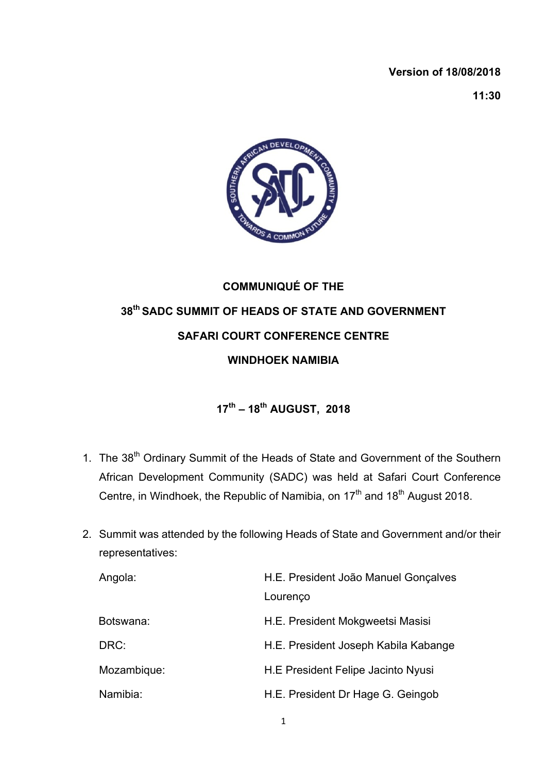## **Version of 18/08/2018**

**11:30**



## **COMMUNIQUÉ OF THE 38th SADC SUMMIT OF HEADS OF STATE AND GOVERNMENT SAFARI COURT CONFERENCE CENTRE WINDHOEK NAMIBIA**

## **17th – 18th AUGUST, 2018**

- 1. The 38<sup>th</sup> Ordinary Summit of the Heads of State and Government of the Southern African Development Community (SADC) was held at Safari Court Conference Centre, in Windhoek, the Republic of Namibia, on  $17<sup>th</sup>$  and  $18<sup>th</sup>$  August 2018.
- 2. Summit was attended by the following Heads of State and Government and/or their representatives:

| Angola:     | H.E. President João Manuel Gonçalves |
|-------------|--------------------------------------|
|             | Lourenço                             |
| Botswana:   | H.E. President Mokgweetsi Masisi     |
| DRC:        | H.E. President Joseph Kabila Kabange |
| Mozambique: | H.E President Felipe Jacinto Nyusi   |
| Namibia:    | H.E. President Dr Hage G. Geingob    |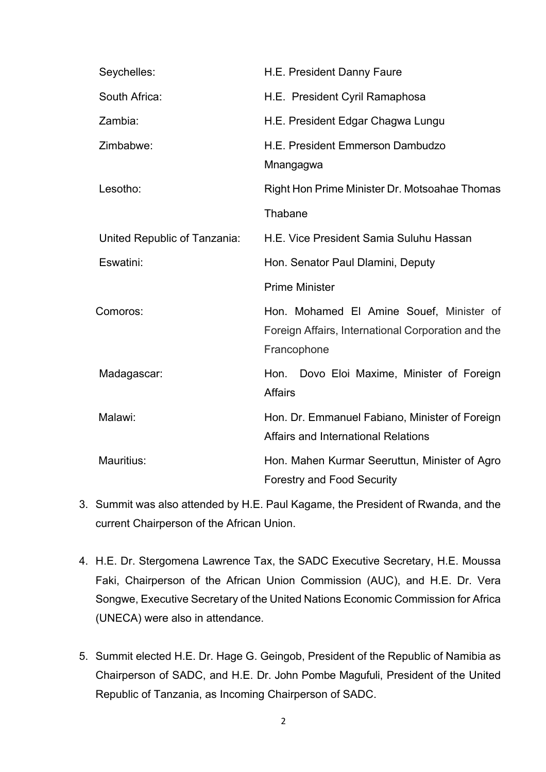| Seychelles:                  | H.E. President Danny Faure                                                                                    |
|------------------------------|---------------------------------------------------------------------------------------------------------------|
| South Africa:                | H.E. President Cyril Ramaphosa                                                                                |
| Zambia:                      | H.E. President Edgar Chagwa Lungu                                                                             |
| Zimbabwe:                    | H.E. President Emmerson Dambudzo<br>Mnangagwa                                                                 |
| Lesotho:                     | Right Hon Prime Minister Dr. Motsoahae Thomas                                                                 |
|                              | Thabane                                                                                                       |
| United Republic of Tanzania: | H.E. Vice President Samia Suluhu Hassan                                                                       |
| Eswatini:                    | Hon. Senator Paul Dlamini, Deputy                                                                             |
|                              |                                                                                                               |
|                              | <b>Prime Minister</b>                                                                                         |
| Comoros:                     | Hon. Mohamed El Amine Souef, Minister of<br>Foreign Affairs, International Corporation and the<br>Francophone |
| Madagascar:                  | Hon. Dovo Eloi Maxime, Minister of Foreign<br><b>Affairs</b>                                                  |
| Malawi:                      | Hon. Dr. Emmanuel Fabiano, Minister of Foreign<br><b>Affairs and International Relations</b>                  |

- 3. Summit was also attended by H.E. Paul Kagame, the President of Rwanda, and the current Chairperson of the African Union.
- 4. H.E. Dr. Stergomena Lawrence Tax, the SADC Executive Secretary, H.E. Moussa Faki, Chairperson of the African Union Commission (AUC), and H.E. Dr. Vera Songwe, Executive Secretary of the United Nations Economic Commission for Africa (UNECA) were also in attendance.
- 5. Summit elected H.E. Dr. Hage G. Geingob, President of the Republic of Namibia as Chairperson of SADC, and H.E. Dr. John Pombe Magufuli, President of the United Republic of Tanzania, as Incoming Chairperson of SADC.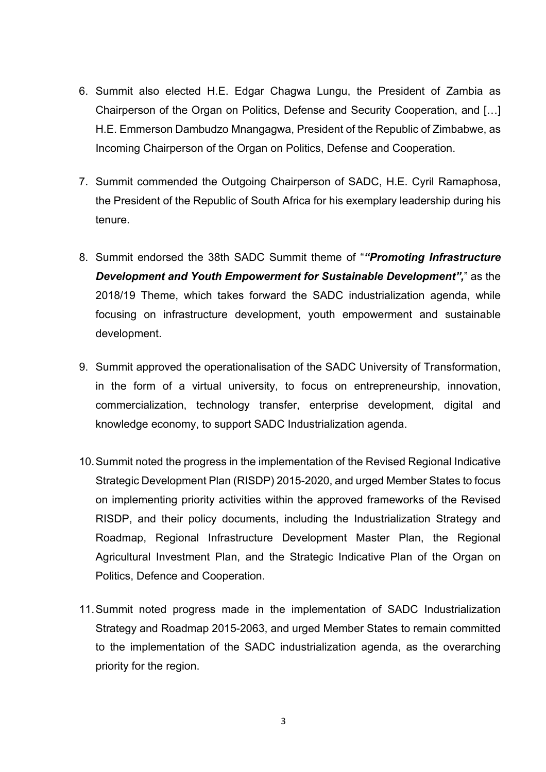- 6. Summit also elected H.E. Edgar Chagwa Lungu, the President of Zambia as Chairperson of the Organ on Politics, Defense and Security Cooperation, and […] H.E. Emmerson Dambudzo Mnangagwa, President of the Republic of Zimbabwe, as Incoming Chairperson of the Organ on Politics, Defense and Cooperation.
- 7. Summit commended the Outgoing Chairperson of SADC, H.E. Cyril Ramaphosa, the President of the Republic of South Africa for his exemplary leadership during his tenure.
- 8. Summit endorsed the 38th SADC Summit theme of "*"Promoting Infrastructure Development and Youth Empowerment for Sustainable Development",*" as the 2018/19 Theme, which takes forward the SADC industrialization agenda, while focusing on infrastructure development, youth empowerment and sustainable development.
- 9. Summit approved the operationalisation of the SADC University of Transformation, in the form of a virtual university, to focus on entrepreneurship, innovation, commercialization, technology transfer, enterprise development, digital and knowledge economy, to support SADC Industrialization agenda.
- 10.Summit noted the progress in the implementation of the Revised Regional Indicative Strategic Development Plan (RISDP) 2015-2020, and urged Member States to focus on implementing priority activities within the approved frameworks of the Revised RISDP, and their policy documents, including the Industrialization Strategy and Roadmap, Regional Infrastructure Development Master Plan, the Regional Agricultural Investment Plan, and the Strategic Indicative Plan of the Organ on Politics, Defence and Cooperation.
- 11.Summit noted progress made in the implementation of SADC Industrialization Strategy and Roadmap 2015-2063, and urged Member States to remain committed to the implementation of the SADC industrialization agenda, as the overarching priority for the region.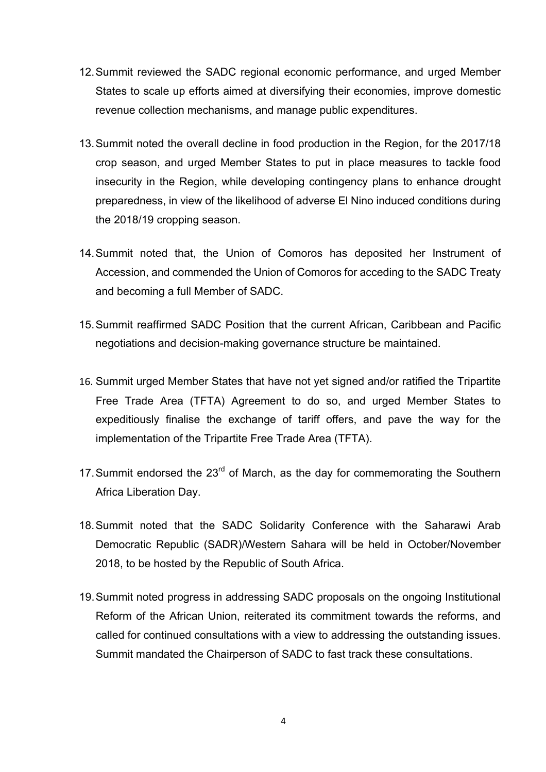- 12.Summit reviewed the SADC regional economic performance, and urged Member States to scale up efforts aimed at diversifying their economies, improve domestic revenue collection mechanisms, and manage public expenditures.
- 13.Summit noted the overall decline in food production in the Region, for the 2017/18 crop season, and urged Member States to put in place measures to tackle food insecurity in the Region, while developing contingency plans to enhance drought preparedness, in view of the likelihood of adverse El Nino induced conditions during the 2018/19 cropping season.
- 14.Summit noted that, the Union of Comoros has deposited her Instrument of Accession, and commended the Union of Comoros for acceding to the SADC Treaty and becoming a full Member of SADC.
- 15.Summit reaffirmed SADC Position that the current African, Caribbean and Pacific negotiations and decision-making governance structure be maintained.
- 16. Summit urged Member States that have not yet signed and/or ratified the Tripartite Free Trade Area (TFTA) Agreement to do so, and urged Member States to expeditiously finalise the exchange of tariff offers, and pave the way for the implementation of the Tripartite Free Trade Area (TFTA).
- 17. Summit endorsed the  $23<sup>rd</sup>$  of March, as the day for commemorating the Southern Africa Liberation Day.
- 18.Summit noted that the SADC Solidarity Conference with the Saharawi Arab Democratic Republic (SADR)/Western Sahara will be held in October/November 2018, to be hosted by the Republic of South Africa.
- 19.Summit noted progress in addressing SADC proposals on the ongoing Institutional Reform of the African Union, reiterated its commitment towards the reforms, and called for continued consultations with a view to addressing the outstanding issues. Summit mandated the Chairperson of SADC to fast track these consultations.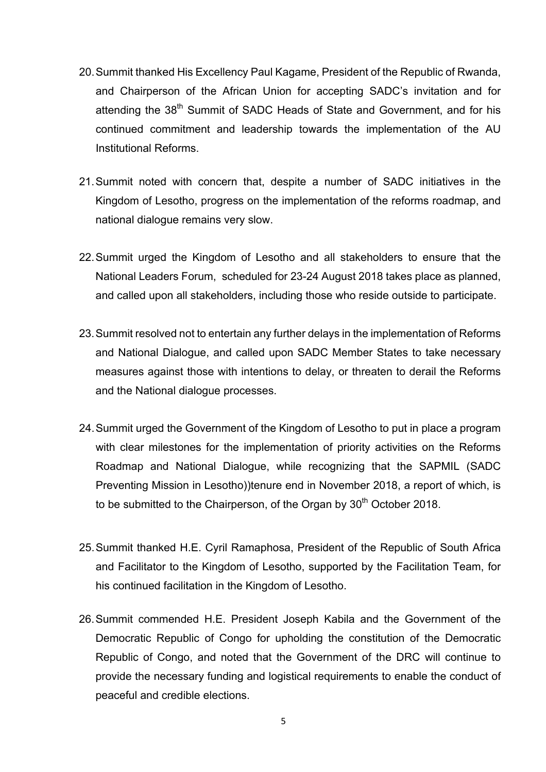- 20.Summit thanked His Excellency Paul Kagame, President of the Republic of Rwanda, and Chairperson of the African Union for accepting SADC's invitation and for attending the 38<sup>th</sup> Summit of SADC Heads of State and Government, and for his continued commitment and leadership towards the implementation of the AU Institutional Reforms.
- 21.Summit noted with concern that, despite a number of SADC initiatives in the Kingdom of Lesotho, progress on the implementation of the reforms roadmap, and national dialogue remains very slow.
- 22.Summit urged the Kingdom of Lesotho and all stakeholders to ensure that the National Leaders Forum, scheduled for 23-24 August 2018 takes place as planned, and called upon all stakeholders, including those who reside outside to participate.
- 23.Summit resolved not to entertain any further delays in the implementation of Reforms and National Dialogue, and called upon SADC Member States to take necessary measures against those with intentions to delay, or threaten to derail the Reforms and the National dialogue processes.
- 24.Summit urged the Government of the Kingdom of Lesotho to put in place a program with clear milestones for the implementation of priority activities on the Reforms Roadmap and National Dialogue, while recognizing that the SAPMIL (SADC Preventing Mission in Lesotho))tenure end in November 2018, a report of which, is to be submitted to the Chairperson, of the Organ by  $30<sup>th</sup>$  October 2018.
- 25.Summit thanked H.E. Cyril Ramaphosa, President of the Republic of South Africa and Facilitator to the Kingdom of Lesotho, supported by the Facilitation Team, for his continued facilitation in the Kingdom of Lesotho.
- 26.Summit commended H.E. President Joseph Kabila and the Government of the Democratic Republic of Congo for upholding the constitution of the Democratic Republic of Congo, and noted that the Government of the DRC will continue to provide the necessary funding and logistical requirements to enable the conduct of peaceful and credible elections.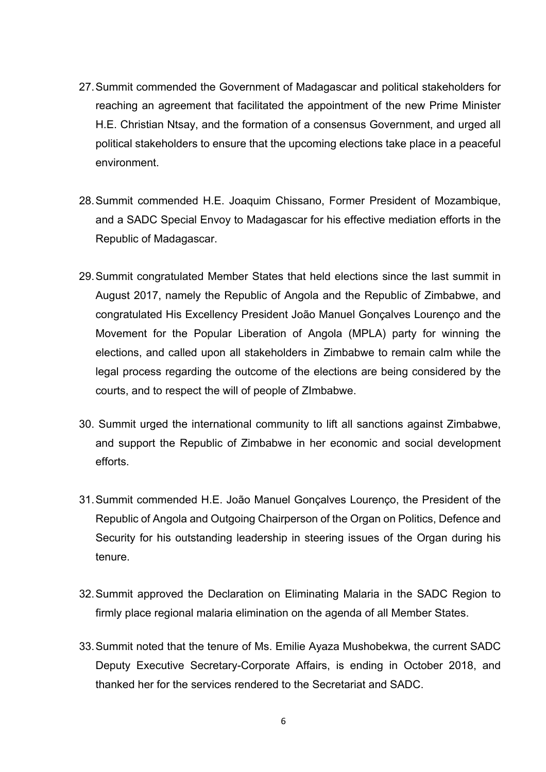- 27.Summit commended the Government of Madagascar and political stakeholders for reaching an agreement that facilitated the appointment of the new Prime Minister H.E. Christian Ntsay, and the formation of a consensus Government, and urged all political stakeholders to ensure that the upcoming elections take place in a peaceful environment.
- 28.Summit commended H.E. Joaquim Chissano, Former President of Mozambique, and a SADC Special Envoy to Madagascar for his effective mediation efforts in the Republic of Madagascar.
- 29.Summit congratulated Member States that held elections since the last summit in August 2017, namely the Republic of Angola and the Republic of Zimbabwe, and congratulated His Excellency President João Manuel Gonçalves Lourenço and the Movement for the Popular Liberation of Angola (MPLA) party for winning the elections, and called upon all stakeholders in Zimbabwe to remain calm while the legal process regarding the outcome of the elections are being considered by the courts, and to respect the will of people of ZImbabwe.
- 30. Summit urged the international community to lift all sanctions against Zimbabwe, and support the Republic of Zimbabwe in her economic and social development efforts.
- 31.Summit commended H.E. João Manuel Gonçalves Lourenço, the President of the Republic of Angola and Outgoing Chairperson of the Organ on Politics, Defence and Security for his outstanding leadership in steering issues of the Organ during his tenure.
- 32.Summit approved the Declaration on Eliminating Malaria in the SADC Region to firmly place regional malaria elimination on the agenda of all Member States.
- 33.Summit noted that the tenure of Ms. Emilie Ayaza Mushobekwa, the current SADC Deputy Executive Secretary-Corporate Affairs, is ending in October 2018, and thanked her for the services rendered to the Secretariat and SADC.